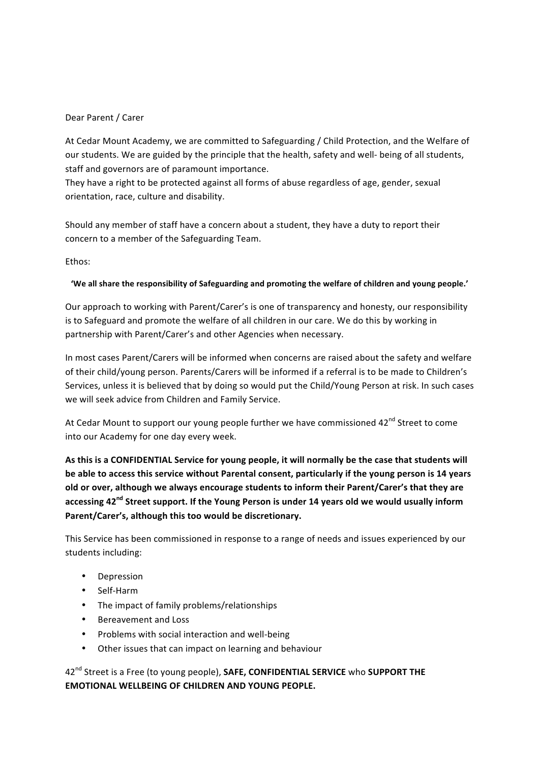## Dear Parent / Carer

At Cedar Mount Academy, we are committed to Safeguarding / Child Protection, and the Welfare of our students. We are guided by the principle that the health, safety and well- being of all students, staff and governors are of paramount importance.

They have a right to be protected against all forms of abuse regardless of age, gender, sexual orientation, race, culture and disability.

Should any member of staff have a concern about a student, they have a duty to report their concern to a member of the Safeguarding Team.

Ethos:

## 'We all share the responsibility of Safeguarding and promoting the welfare of children and young people.'

Our approach to working with Parent/Carer's is one of transparency and honesty, our responsibility is to Safeguard and promote the welfare of all children in our care. We do this by working in partnership with Parent/Carer's and other Agencies when necessary.

In most cases Parent/Carers will be informed when concerns are raised about the safety and welfare of their child/young person. Parents/Carers will be informed if a referral is to be made to Children's Services, unless it is believed that by doing so would put the Child/Young Person at risk. In such cases we will seek advice from Children and Family Service.

At Cedar Mount to support our young people further we have commissioned 42<sup>nd</sup> Street to come into our Academy for one day every week.

As this is a CONFIDENTIAL Service for young people, it will normally be the case that students will be able to access this service without Parental consent, particularly if the young person is 14 years **old or over, although we always encourage students to inform their Parent/Carer's that they are accessing 42<sup>nd</sup> Street support. If the Young Person is under 14 years old we would usually inform** Parent/Carer's, although this too would be discretionary.

This Service has been commissioned in response to a range of needs and issues experienced by our students including:

- Depression
- Self-Harm
- The impact of family problems/relationships
- Bereavement and Loss
- Problems with social interaction and well-being
- Other issues that can impact on learning and behaviour

42<sup>nd</sup> Street is a Free (to young people), **SAFE, CONFIDENTIAL SERVICE** who **SUPPORT THE EMOTIONAL WELLBEING OF CHILDREN AND YOUNG PEOPLE.**